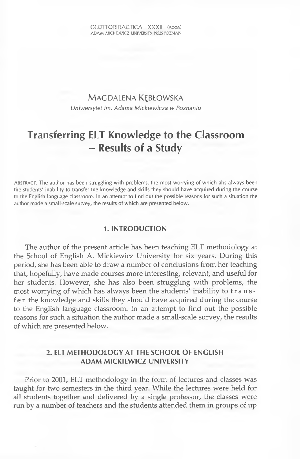## MAGDALENA KEBŁOWSKA *Uniwersytet im. Adama Mickiewicza w Poznaniu*

# **Transferring ELT Knowledge to the Classroom - Results of a Study**

ABSTRACT. The author has been struggling with problems, the most worrying of which ahs always been the students' inability to transfer the knowledge and skills they should have acquired during the course to the English language classroom. In an attempt to find out the possible reasons for such a situation the author made a small-scale survey, the results of which are presented below.

#### **1. INTRODUCTION**

The author of the present article has been teaching ELT methodology at the School of English A. Mickiewicz University for six years. During this period, she has been able to draw a number of conclusions from her teaching that, hopefully, have made courses more interesting, relevant, and useful for her students. However, she has also been struggling with problems, the most worrying of which has always been the students' inability to transfe r the knowledge and skills they should have acquired during the course to the English language classroom. In an attempt to find out the possible reasons for such a situation the author made a small-scale survey, the results of which are presented below.

## **2. ELT METHODOLOGY AT THE SCHOOL OF ENGLISH ADAM MICKIEWICZ UNIVERSITY**

Prior to 2001, ELT methodology in the form of lectures and classes was taught for two semesters in the third year. While the lectures were held for ail students together and delivered by a single professor, the classes were run by a number of teachers and the students attended them in groups of up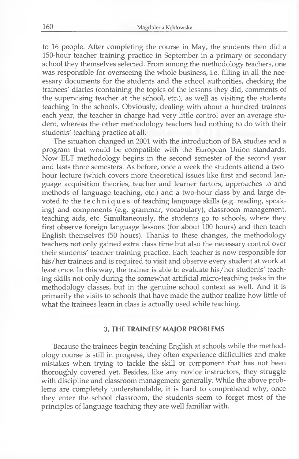to 16 people. After completing the course in May, the students then did a 150-hour teacher training practice in September in a primary or secondary school they themselves selected. From among the methodology teachers, one was responsible for overseeing the whole business, i.e. filling in ail the necessary documents for the students and the school authorities, checking the trainees' diaries (containing the topics of the lessons they did, comments of the supervising teacher at the school, etc.), as well as visiting the students teaching in the schools. Obviously, dealing with about a hundred trainees each year, the teacher in charge had very little control over an average student, whereas the other methodology teachers had nothing to do with their students' teaching practice at ail.

The situation changed in 2001 with the introduction of BA studies and a program that would be compatible with the European Union standards. Now ELT methodology begins in the second semester of the second year and lasts three semesters. As before, once a week the students attend a twohour lecture (which covers more theoretical issues like first and second language acquisition theories, teacher and learner factors, approaches to and methods of language teaching, etc.) and a two-hour class by and large devoted to the techniques of teaching language skills (e.g. reading, speaking) and components (e.g. grammar, vocabulary), classroom management, teaching aids, etc. Simultaneously, the students go to schools, where they first observe foreign language lessons (for about 100 hours) and then teach English themselves (50 hours). Thanks to these changes, the methodology teachers not only gained extra class time but also the necessary control over their students' teacher training practice. Each teacher is now responsible for his/her trainees and is required to visit and observe every student at work at least once. In this way, the traîner is able to evaluate his/her students' teaching skills not only during the somewhat artificial micro-teaching tasks in the methodology classes, but in the genuine school context as well. And it is primarily the visits to schools that have made the author realize how little of what the trainees learn in class is actually used while teaching.

#### **3. THE TRAINEES' MAJOR PROBLEMS**

Because the trainees begin teaching English at schools while the methodology course is still in progress, they often experience difficulties and make mistakes when trying to tackle the skill or component that has not been thoroughly covered yet. Besides, like any novice instructors, they struggle with discipline and classroom management generally. While the above problems are completely understandable, it is hard to comprehend why, once they enter the school classroom, the students seem to forget most of the principles of language teaching they are well familiar with.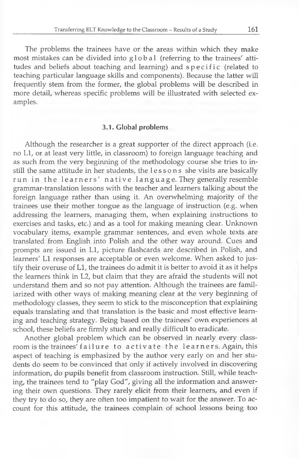The problems the trainees have or the areas within which they make most mistakes can be divided into global (referring to the trainees' attitudes and beliefs about teaching and learning) and specific (related to teaching particular language skills and components). Because the latter will frequently stem from the former, the global problems will be described in more détail, whereas specific problems will be illustrated with selected examples.

#### **3.1. Global problems**

Although the researcher is a great supporter of the direct approach (i.e. no Ll, or at least very little, in classroom) to foreign language teaching and as such from the very beginning of the methodology course she tries to instill the same attitude in her students, the lessons she visits are basically run in the learners' native language. They generally resemble grammar-translation lessons with the teacher and learners talking about the foreign language rather than using it. An overwhelming majority of the trainees use their mother tongue as the language of instruction (e.g. when addressing the learners, managing them, when explaining instructions to exercises and tasks, etc.) and as a tool for making meaning clear. Unknown vocabulary items, example grammar sentences, and even whole texts are translated from English into Polish and the other way around. Cues and prompts are issued in Ll, picture flashcards are described in Polish, and learners' Ll responses are acceptable or even welcome. When asked to justify their overuse of Ll, the trainees do admit it is better to avoid it as it helps the learners think in L2, but claim that they are afraid the students will not understand them and so not pay attention. Although the trainees are familiarized with other ways of making meaning clear at the very beginning of methodology classes, they seem to stick to the misconception that explaining equals translating and that translation is the basic and most effective learning and teaching strategy. Being based on the trainees' own experiences at school, these beliefs are firmly stuck and really difficult to eradicate.

Another global problem which can be observed in nearly every classroom is the trainees' failure to activate the learners. Again, this aspect of teaching is emphasized by the author very early on and her students do seem to be convinced that only if actively involved in discovering information, do pupils benefit from classroom instruction. Still, while teaching, the trainees tend to "play God", giving ail the information and answering their own questions. They rarely elicit from their learners, and even if they try to do so, they are often too impatient to wait for the answer. To account for this attitude, the trainees complain of school lessons being too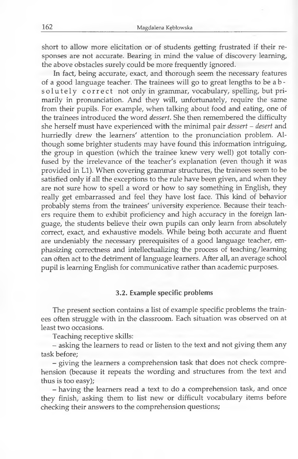short to allow more elicitation or of students getting frustrated if their responses are not accurate. Bearing in mind the value of discovery learning, the above obstacles surely could be more frequently ignored.

In fact, being accurate, exact, and thorough seem the necessary features of a good language teacher. The trainees will go to great lengths to be a b solutely correct not only in grammar, vocabulary, spelling, but primarily in pronunciation. And they will, unfortunately, require the same from their pupils. For example, when talking about food and eating, one of the trainees introduced the word *dessert.* She then remembered the difficulty she herself must have experienced with the minimal pair *dessert - desert* and hurriedly drew the learners' attention to the pronunciation problem. Although some brighter students may have found this information intriguing, the group in question (which the trainee knew very well) got totally confused by the irrelevance of the teacher's explanation (even though it was provided in Ll). When covering grammar structures, the trainees seem to be satisfied only if all the exceptions to the rule have been given, and when they are not sure how to spell a word or how to say something in English, they really get embarrassed and feel they have lost face. This kind of behavior probably stems from the trainees' university experience. Because their teachers require them to exhibit proficiency and high accuracy in the foreign language, the students believe their own pupils can only learn from absolutely correct, exact, and exhaustive models. While being both accurate and fluent are undeniably the necessary prerequisites of a good language teacher, emphasizing correctness and intellectualizing the process of teaching/learning can often act to the detriment of language learners. After ail, an average school pupil is leaming English for communicative rather than academic purposes.

#### **3.2. Example specific problems**

The present section contains a list of example specific problems the trainees often struggle with in the classroom. Each situation was observed on at least two occasions.

Teaching receptive skills:

- asking the learners to read or listen to the text and not giving them any task before;

- giving the learners a comprehension task that does not check comprehension (because it repeats the wording and structures from the text and thus is too easy);

- having the learners read a text to do a comprehension task, and once they finish, asking them to list new or difficult vocabulary items before checking their answers to the comprehension questions;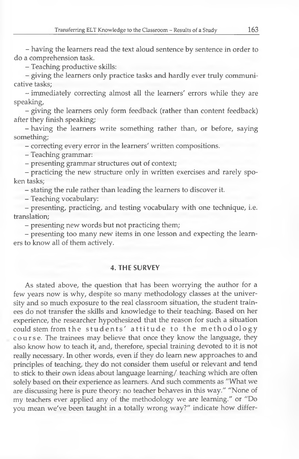- having the learners read the text aloud sentence by sentence in order to do a compréhension task.

- Teaching productive skills:

- giving the learners only practice tasks and hardly ever truly communicative tasks;

- immediately correcting almost ail the learners' errors while they are speaking,

- giving the learners only form feedback (rather than content feedback) after they finish speaking;

- having the learners write something rather than, or before, saying something;

- correcting every error in the learners' written compositions.

- Teaching grammar:

- presenting grammar structures out of context;

- practicing the new structure only in written exercises and rarely spoken tasks;

- stating the rule rather than leading the learners to discover it.

- Teaching vocabulary:

- presenting, practicing, and testing vocabulary with one technique, i.e. translation;

- presenting new words but not practicing them;

- presenting too many new items in one lesson and expecting the learners to know ail of them actively.

### **4. THE SURVEY**

As stated above, the question that has been worrying the author for a few years now is why, despite so many methodology classes at the university and so much exposure to the real classroom situation, the student trainees do not transfer the skills and knowledge to their teaching. Based on her experience, the researcher hypothesized that the reason for such a situation could stem from the students' attitude to the methodology course. The trainees may believe that once they know the language, they also know how to teach it, and, therefore, special training devoted to it is not really necessary. In other words, even if they do leam new approaches to and principles of teaching, they do not consider them useful or relevant and tend to stick to their own ideas about language learning/ teaching which are often solely based on their experience as learners. And such comments as "What we are discussing here is pure theory: no teacher behaves in this way." "None of my teachers ever applied any of the methodology we are learning." or "Do you mean we've been taught in a totally wrong way?" indicate how differ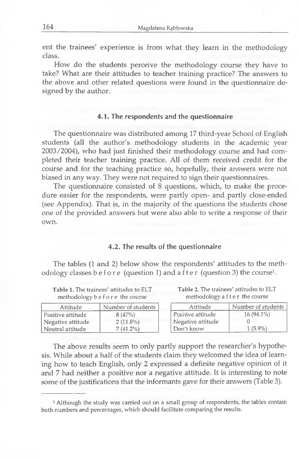ent the trainees' experience is from what they learn in the methodology class.

How do the students perceive the methodology course they have to take? What are their attitudes to teacher training practice? The answers to the above and other related questions were found in the questionnaire designed by the author.

#### **4.1. The respondents and the questionnaire**

The questionnaire was distributed among 17 third-year School of English students (ail the author's methodology students in the academic year 2003/2004), who had just finished their methodology course and had completed their teacher training practice. All of them received credit for the course and for the teaching practice so, hopefully, their answers were not biased in any way. They were not required to sign their questionnaires.

The questionnaire consisted of 8 questions, which, to make the procédure easier for the respondents, were partly open- and partly close-ended (see Appendix). That is, in the majority of the questions the students chose one of the provided answers but were also able to write a response of their own.

#### **4.2. The results of the questionnaire**

The tables (1 and 2) below show the respondents' attitudes to the methodology classes b e f o r e (question 1) and a f t e r (question 3) the course<sup>1</sup>.

**Table 1.** The trainees' attitudes to ELT **Table 2.** The trainees' attitudes to ELT methodology b e f o r e the course methodology a f t e r the course methodology b e f o r e the course

| Attitude          | Number of students | Attitude          | Number of students |
|-------------------|--------------------|-------------------|--------------------|
| Positive attitude | 8(47%)             | Positive attitude | $16(94.1\%)$       |
| Negative attitude | $2(11.8\%)$        | Negative attitude |                    |
| Neutral attitude  | $7(41.2\%)$        | Don't know        | 1 (5.9%)           |

The above results seem to only partly support the researcher's hypothesis. While about a half of the students claim they welcomed the idea of learning how to teach English, only 2 expressed a definite negative opinion of it and 7 had neither a positive nor a negative attitude. It is interesting to note some of the justifications that the informants gave for their answers (Table 3).

**<sup>1</sup> Although the study was carried out on a small group of respondents, the tables contain both numbers and percentages, which should facilitate comparing the results.**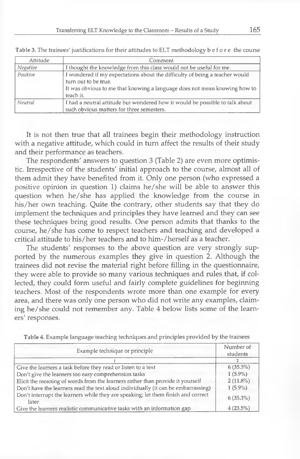| Attitude | Comment                                                                                                                                                                                       |
|----------|-----------------------------------------------------------------------------------------------------------------------------------------------------------------------------------------------|
| Negative | I thought the knowledge from this class would not be useful for me.                                                                                                                           |
| Positive | I wondered if my expectations about the difficulty of being a teacher would<br>turn out to be true.<br>It was obvious to me that knowing a language does not mean knowing how to<br>teach it. |
| Neutral  | I had a neutral attitude but wondered how it would be possible to talk about                                                                                                                  |
|          | such obvious matters for three semesters.                                                                                                                                                     |

**Table 3. The trainees' justifications for their attitudes to ELT methodology before the course**

It is not then true that ail trainees begin their methodology instruction with a negative attitude, which could in turn affect the results of their study and their performance as teachers.

The respondents' answers to question 3 (Table 2) are even more optimistic. Irrespective of the students' initial approach to the course, almost ail of them admit they have benefited from it. Only one person (who expressed a positive opinion in question 1) claims he/she will be able to answer this question when he/she has applied the knowledge from the course in his/her own teaching. Quite the contrary, other students say that they do implement the techniques and principles they have learned and they can see these techniques bring good results. One person admits that thanks to the course, he/she has come to respect teachers and teaching and developed a critical attitude to his/her teachers and to him-/herself as a teacher.

The students' responses to the above question are very strongly supported by the numerous examples they give in question 2. Although the trainees did not revise the material right before filling in the questionnaire, they were able to provide so many various techniques and rules that, if collected, they could form useful and fairly complete guidelines for beginning teachers. Most of the respondents wrote more than one example for every area, and there was only one person who did not write any examples, claiming he/she could not remember any. Table 4 below lists some of the learners' responses.

|                                                                                            | Number of   |
|--------------------------------------------------------------------------------------------|-------------|
| Example technique or principle                                                             | students    |
|                                                                                            |             |
| Give the learners a task before they read or listen to a text                              | 6(35.3%)    |
| Don't give the learners too easy comprehension tasks                                       | $1(5.9\%)$  |
| Elicit the meaning of words from the learners rather than provide it yourself              | $2(11.8\%)$ |
| Don't have the learners read the text aloud individually (it can be embarrassing)          | $1(5.9\%)$  |
| Don't interrupt the learners while they are speaking; let them finish and correct<br>later | $6(35.3\%)$ |
| Give the learners realistic communicative tasks with an information gap                    | $4(23.5\%)$ |

**Table 4. Example language teaching techniques and principles provided by the trainees**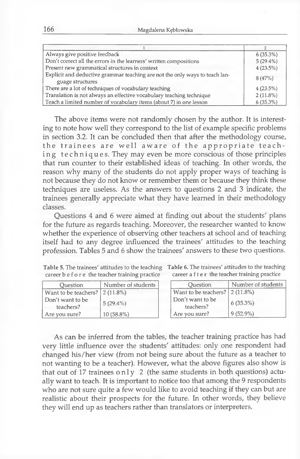**166** Magdalena Kçblowska

| Always give positive feedback                                                                   | 6(35.3%)    |
|-------------------------------------------------------------------------------------------------|-------------|
| Don't correct all the errors in the learners' written compositions                              | $5(29.4\%)$ |
| Present new grammatical structures in context                                                   | 4(23.5%)    |
| Explicit and deductive grammar teaching are not the only ways to teach lan-<br>guage structures | 8(47%)      |
| There are a lot of techniques of vocabulary teaching                                            | 4(23.5%)    |
| Translation is not always an effective vocabulary teaching technique                            | $2(11.8\%)$ |
| Teach a limited number of vocabulary items (about 7) in one lesson                              | 6(35.3%)    |

The above items were not randomly chosen by the author. It is interesting to note how well they correspond to the list of example specific problems in section 3.2. It can be concluded then that after the methodology course, the trainees are well aware of the appropriate teaching techniques. They may even be more conscious of those principles that run counter to their established ideas of teaching. In other words, the reason why many of the students do not apply proper ways of teaching is not because they do not know or remember them or because they think these techniques are useless. As the answers to questions 2 and 3 indicate, the trainees generally appreciate what they have leamed in their methodology classes.

Questions 4 and 6 were aimed at finding out about the students' plans for the future as regards teaching. Moreover, the researcher wanted to know whether the experience of observing other teachers at school and of teaching itself had to any degree influenced the trainees' attitudes to the teaching profession. Tables 5 and 6 show the trainees' answers to these two questions.

| Table 5. The trainees' attitudes to the teaching Table 6. The trainees' attitudes to the teaching |                                                |
|---------------------------------------------------------------------------------------------------|------------------------------------------------|
| career b e f o r e the teacher training practice                                                  | career a f t e r the teacher training practice |

| Question                      | Number of students |
|-------------------------------|--------------------|
| Want to be teachers?          | $2(11.8\%)$        |
| Don't want to be<br>teachers? | $5(29.4\%)$        |
| Are you sure?                 | $10(58.8\%)$       |

| Ouestion             | Number of students |
|----------------------|--------------------|
| Want to be teachers? | $2(11.8\%)$        |
| Don't want to be     | 6(35.3%)           |
| teachers?            |                    |
| Are you sure?        | $9(52.9\%)$        |

As can be inferred from the tables, the teacher training practice has had very little influence over the students' attitudes: only one respondent had changed his/her view (from not being sure about the future as a teacher to not wanting to be a teacher). However, what the above figures also show is that out of 17 trainees only 2 (the same students in both questions) actually want to teach. It is important to notice too that among the 9 respondents who are not sure quite a few would like to avoid teaching if they can but are realistic about their prospects for the future. In other words, they believe they will end up as teachers rather than translators or interpreters.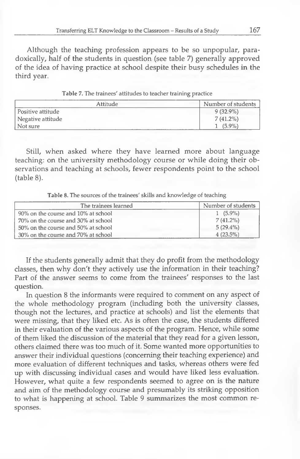Although the teaching profession appears to be so unpopular, paradoxically, half of the students in question (see table 7) generally approved of the idea of having practice at school despite their busy schedules in the third year.

| Attitude          | Number of students |
|-------------------|--------------------|
| Positive attitude | $9(32.9\%)$        |
| Negative attitude | $7(41.2\%)$        |
| Not sure          | $(5.9\%)$          |
|                   |                    |

| Table 7. The trainees' attitudes to teacher training practice |  |  |  |  |
|---------------------------------------------------------------|--|--|--|--|
|---------------------------------------------------------------|--|--|--|--|

Still, when asked where they have learned more about language teaching: on the university methodology course or while doing their observations and teaching at schools, fewer respondents point to the school (table 8).

**Table 8. The sources of the trainees' skills and knowledge of teaching**

| The trainees learned                | Number of students |
|-------------------------------------|--------------------|
| 90% on the course and 10% at school | $1(5.9\%)$         |
| 70% on the course and 30% at school | $7(41.2\%)$        |
| 50% on the course and 50% at school | $5(29.4\%)$        |
| 30% on the course and 70% at school | $4(23.5\%)$        |

If the students generally admit that they do profit from the methodology classes, then why don't they actively use the information in their teaching? Part of the answer seems to come from the trainees' responses to the last question.

In question 8 the informants were required to comment on any aspect of the whole methodology program (including both the university classes, though not the lectures, and practice at schools) and list the elements that were missing, that they liked etc. As is often the case, the students differed in their evaluation of the various aspects of the program. Hence, while some of them liked the discussion of the material that they read for a given lesson, others claimed there was too much of it. Some wanted more opportunities to answer their individual questions (concerning their teaching experience) and more evaluation of different techniques and tasks, whereas others were fed up with discussing individual cases and would have liked less evaluation. However, what quite a few respondents seemed to agree on is the nature and aim of the methodology course and presumably its striking opposition to what is happening at school. Table 9 summarizes the most common responses.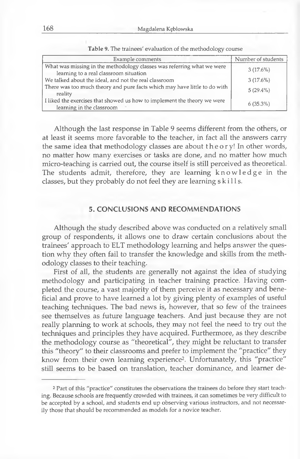| Example comments                                                                                                 | Number of students |
|------------------------------------------------------------------------------------------------------------------|--------------------|
| What was missing in the methodology classes was referring what we were<br>learning to a real classroom situation | 3(17.6%)           |
| We talked about the ideal, and not the real classroom                                                            | 3(17.6%)           |
| There was too much theory and pure facts which may have little to do with<br>reality                             | $5(29.4\%)$        |
| I liked the exercises that showed us how to implement the theory we were<br>learning in the classroom            | $6(35.3\%)$        |

**Table 9. The trainees' évaluation of the methodology course**

Although the last response in Table 9 seems différent from the others, or at least it seems more favorable to the teacher, in fact ail the answers carry the same idea that methodology classes are about the ory! In other words, no matter how many exercises or tasks are done, and no matter how much micro-teaching is carried out, the course itself is still perceived as theoretical. The students admit, therefore, they are learning knowledge in the classes, but they probably do not feel they are learning s k ills.

## **5. CONCLUSIONS AND RECOMMENDATIONS**

Although the study described above was conducted on a relatively small group of respondents, it allows one to draw certain conclusions about the trainees' approach to ELT methodology learning and helps answer the question why they often fail to transfer the knowledge and skills from the methodology classes to their teaching.

First of ail, the students are generally not against the idea of studying methodology and participating in teacher training practice. Having completed the course, a vast majority of them perceive it as necessary and beneficiai and prove to have learned a lot by giving plenty of examples of useful teaching techniques. The bad news is, however, that so few of the trainees see themselves as future language teachers. And just because they are not really planning to work at schools, they may not feel the need to try out the techniques and principles they have acquired. Furthermore, as they describe the methodology course as "theoretical", they might be reluctant to transfer this "theory" to their classrooms and prefer to implement the "practice" they know from their own learning experience2. Unfortunately, this "practice" still seems to be based on translation, teacher dominance, and learner de-

**<sup>2</sup> Part of this "practice" constitutes the observations the trainees do before they start teaching. Because schools are frequently crowded with trainees, it can sometimes be very difficult to be accepted by a school, and students end up observing various instructors, and not necessarily those that should be recommended as models for a novice teacher.**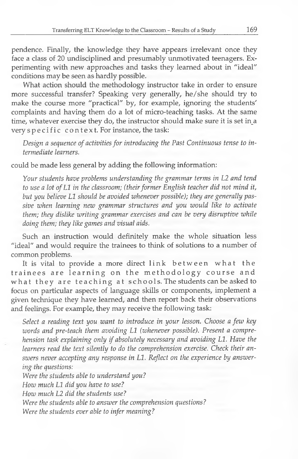pendence. Finally, the knowledge they have appears irrelevant once they face a class of 20 undisciplined and presumably unmotivated teenagers. Experimenting with new approaches and tasks they learned about in "idéal" conditions may be seen as hardly possible.

What action should the methodology instructor take in order to ensure more successful transfer? Speaking very generally, he/she should try to make the course more "practical" by, for example, ignoring the students' complainte and having them do a lot of micro-teaching tasks. At the same time, whatever exercise they do, the instructor should make sure it is set in a very specific context. For instance, the task:

Design a sequence of activities for introducing the Past Continuous tense to in*termediate learners.*

could be made less general by adding the following information:

*Your students have problème understanding the grammar terms in L2 and tend* to use a lot of L1 in the classroom; (their former English teacher did not mind it, but you believe L1 should be avoided whenever possible); they are generally pas*sive when learning new grammar structures and you would like to activate them; they dislike writing grammar exercises and can be very disruptive while doing them; they like games and visual aids.*

Such an instruction would definitely make the whole situation less "ideal" and would require the trainees to think of solutions to a number of common problems.

It is vital to provide a more direct link between what the trainees are learning on the methodology course and what they are teaching at schools. The students can be asked to focus on particular aspects of language skills or components, implement a given technique they have learned, and then report back their observations and feelings. For example, they may receive the following task:

*Select a reading text you want to introduce in your lesson. Choose a few key* words and pre-teach them avoiding L1 (whenever possible). Present a comprehension task explaining only if absolutely necessary and avoiding L1. Have the *learners read the text silently to do the compréhension exercise. Check their an*swers never accepting any response in L1. Reflect on the experience by answer*ing the questions:*

Were the students able to understand you? How much L1 did you have to use? *How much L2 did the students use? Were the students able to answer the compréhension questions? Were the students ever able to infer meaning?*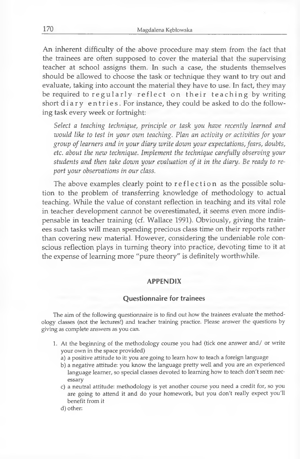An inherent difficulty of the above procédure may stem from the fact that the trainees are often supposed to cover the material that the supervising teacher at school assigns them. In such a case, the students themselves should be allowed to choose the task or technique they want to try out and evaluate, taking into account the material they have to use. In fact, they may be required to regularly reflect on their teaching by writing short diary entries. For instance, they could be asked to do the following task every week or fortnight:

*Select a teaching technique, principle or task you have recently learned and would like to test in your own teaching. Plan an activity or activities for your group of learners and in your diary write down your expectations, fears, doubts, etc. about the new technique, lm plem ent the technique carefully observing your students and then take down your évaluation of it in the diary. Be ready to report your observations in our class.*

The above examples clearly point to reflection as the possible solution to the problem of transferring knowledge of methodology to actual teaching. While the value of constant reflection in teaching and its vital role in teacher development cannot be overestimated, it seems even more indispensable in teacher training (cf. Wallace 1991). Obviously, giving the trainees such tasks will mean spending precious class time on their reports rather than covering new material. However, considering the undeniable role conscious reflection plays in turning theory into practice, devoting time to it at the expense of learning more "pure theory" is definitely worthwhile.

#### **APPENDIX**

#### **Questionnaire for trainees**

**The aim of the following questionnaire is to find out how the trainees evaluate the methodology classes (not the lectures!) and teacher training practice. Please answer the questions by giving as complété answers as you can.**

- **1. At the beginning of the methodology course you had (tick one answer and/ or write your own in the space provided)**
	- **a) a positive attitude to it: you are going to leam how to teach a foreign language**
	- **b) a negative attitude: you know the language pretty weil and you are an experienced** language learner, so special classes devoted to learning how to teach don't seem nec**essary**
	- **c) a neutral attitude: methodology is yet another course you need a crédit for, so you are going to attend it and do your homework, but you don't really expect you'll benefit from it**
	- **d) other:**